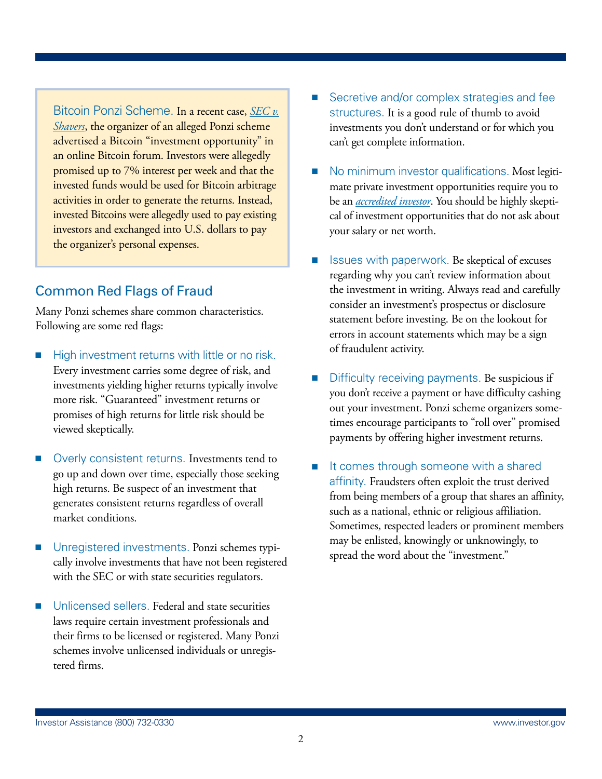Bitcoin Ponzi Scheme. In a recent case, *[SEC v.](http://www.sec.gov/News/PressRelease/Detail/PressRelease/1370539730583#.Ue6yZODmp-I) [Shavers](http://www.sec.gov/News/PressRelease/Detail/PressRelease/1370539730583#.Ue6yZODmp-I)*, the organizer of an alleged Ponzi scheme advertised a Bitcoin "investment opportunity" in an online Bitcoin forum. Investors were allegedly promised up to 7% interest per week and that the invested funds would be used for Bitcoin arbitrage activities in order to generate the returns. Instead, invested Bitcoins were allegedly used to pay existing investors and exchanged into U.S. dollars to pay the organizer's personal expenses.

## Common Red Flags of Fraud

Many Ponzi schemes share common characteristics. Following are some red flags:

- High investment returns with little or no risk. Every investment carries some degree of risk, and investments yielding higher returns typically involve more risk. "Guaranteed" investment returns or promises of high returns for little risk should be viewed skeptically.
- Overly consistent returns. Investments tend to go up and down over time, especially those seeking high returns. Be suspect of an investment that generates consistent returns regardless of overall market conditions.
- Unregistered investments. Ponzi schemes typically involve investments that have not been registered with the SEC or with state securities regulators.
- Unlicensed sellers. Federal and state securities laws require certain investment professionals and their firms to be licensed or registered. Many Ponzi schemes involve unlicensed individuals or unregistered firms.
- Secretive and/or complex strategies and fee structures. It is a good rule of thumb to avoid investments you don't understand or for which you can't get complete information.
- No minimum investor qualifications. Most legitimate private investment opportunities require you to be an *[accredited investor](http://www.sec.gov/answers/accred.htm)*. You should be highly skeptical of investment opportunities that do not ask about your salary or net worth.
- Issues with paperwork. Be skeptical of excuses regarding why you can't review information about the investment in writing. Always read and carefully consider an investment's prospectus or disclosure statement before investing. Be on the lookout for errors in account statements which may be a sign of fraudulent activity.
- Difficulty receiving payments. Be suspicious if you don't receive a payment or have difficulty cashing out your investment. Ponzi scheme organizers sometimes encourage participants to "roll over" promised payments by offering higher investment returns.
- It comes through someone with a shared affinity. Fraudsters often exploit the trust derived from being members of a group that shares an affinity, such as a national, ethnic or religious affiliation. sometimes, respected leaders or prominent members may be enlisted, knowingly or unknowingly, to spread the word about the "investment."